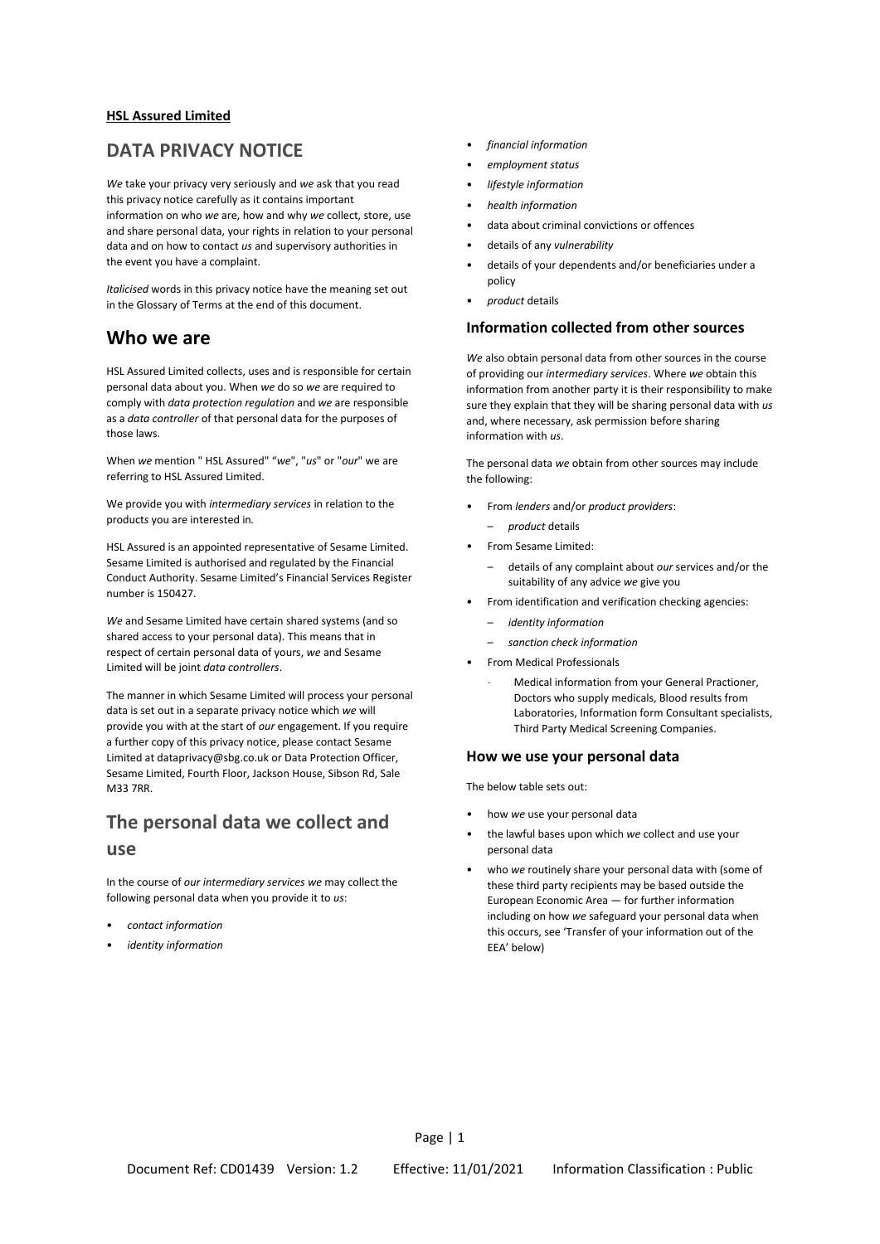### **HSL Assured Limited**

## **DATA PRIVACY NOTICE**

*We* take your privacy very seriously and *we* ask that you read this privacy notice carefully as it contains important information on who *we* are, how and why *we* collect, store, use and share personal data, your rights in relation to your personal data and on how to contact *us* and supervisory authorities in the event you have a complaint.

*Italicised* words in this privacy notice have the meaning set out in the Glossary of Terms at the end of this document.

## **Who we are**

HSL Assured Limited collects, uses and is responsible for certain personal data about you. When *we* do so *we* are required to comply with *data protection regulation* and *we* are responsible as a *data controller* of that personal data for the purposes of those laws.

When *we* mention " HSL Assured" "*we*", "*us*" or "*our*" we are referring to HSL Assured Limited.

We provide you with *intermediary services* in relation to the product*s* you are interested in*.*

HSL Assured is an appointed representative of Sesame Limited. Sesame Limited is authorised and regulated by the Financial Conduct Authority. Sesame Limited's Financial Services Register number is 150427.

*We* and Sesame Limited have certain shared systems (and so shared access to your personal data). This means that in respect of certain personal data of yours, *we* and Sesame Limited will be joint *data controllers*.

The manner in which Sesame Limited will process your personal data is set out in a separate privacy notice which *we* will provide you with at the start of *our* engagement. If you require a further copy of this privacy notice, please contact Sesame Limited at dataprivacy@sbg.co.uk or Data Protection Officer, Sesame Limited, Fourth Floor, Jackson House, Sibson Rd, Sale M33 7RR.

## **The personal data we collect and use**

In the course of *our intermediary services we* may collect the following personal data when you provide it to *us*:

- *contact information*
- *identity information*
- *financial information*
- *employment status*
- *lifestyle information*
- *health information*
- data about criminal convictions or offences
- details of any *vulnerability*
- details of your dependents and/or beneficiaries under a policy
- *product* details

### **Information collected from other sources**

*We* also obtain personal data from other sources in the course of providing our *intermediary services*. Where *we* obtain this information from another party it is their responsibility to make sure they explain that they will be sharing personal data with *us* and, where necessary, ask permission before sharing information with *us*.

The personal data *we* obtain from other sources may include the following:

- From *lenders* and/or *product providers*:
	- *product* details
- From Sesame Limited:
	- details of any complaint about *our* services and/or the suitability of any advice *we* give you
- From identification and verification checking agencies:
	- *identity information*
	- *sanction check information*
	- From Medical Professionals
		- Medical information from your General Practioner, Doctors who supply medicals, Blood results from Laboratories, Information form Consultant specialists, Third Party Medical Screening Companies.

#### **How we use your personal data**

The below table sets out:

- how *we* use your personal data
- the lawful bases upon which *we* collect and use your personal data
- who *we* routinely share your personal data with (some of these third party recipients may be based outside the European Economic Area — for further information including on how *we* safeguard your personal data when this occurs, see 'Transfer of your information out of the EEA' below)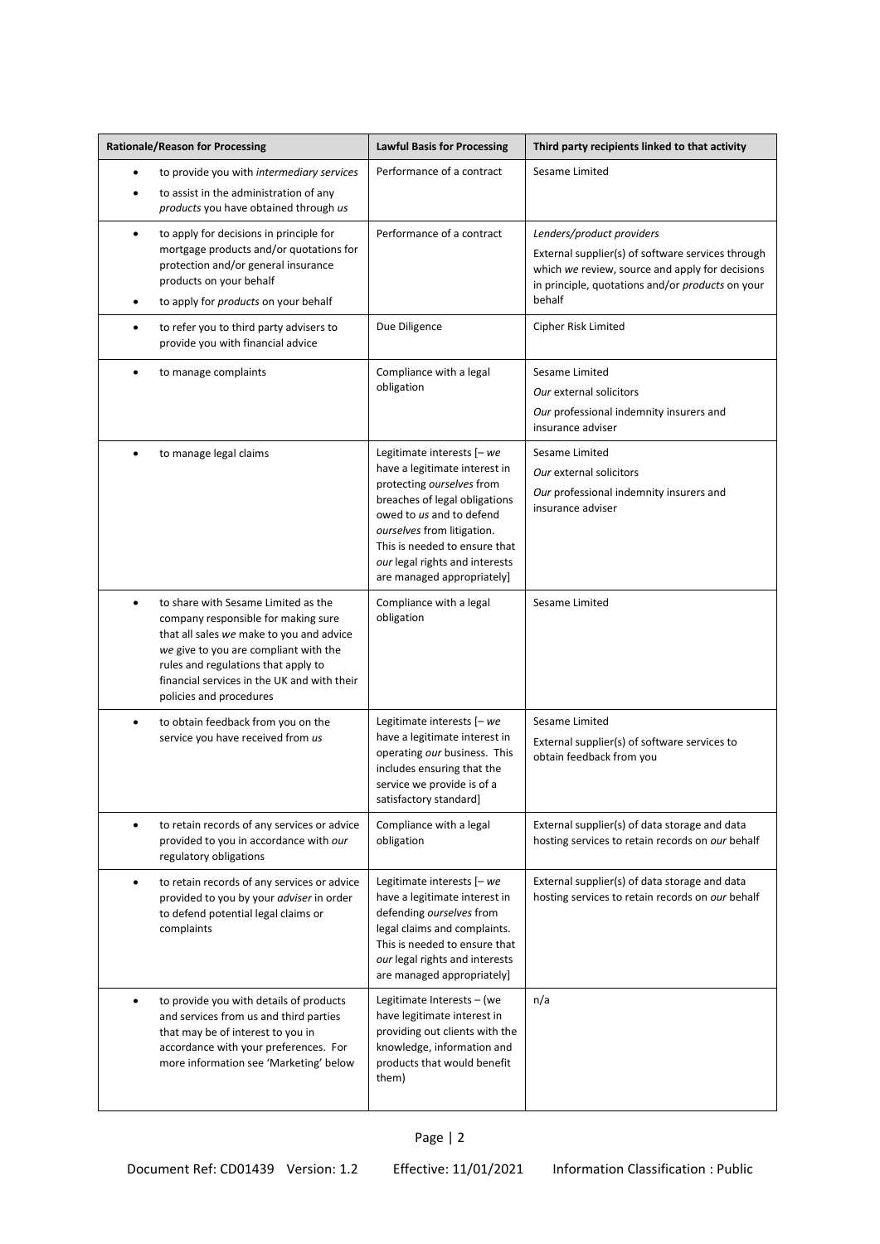| <b>Rationale/Reason for Processing</b> |                                                                                                                                                                                                                                                                                  | <b>Lawful Basis for Processing</b>                                                                                                                                                                                                                                                     | Third party recipients linked to that activity                                                                                                                                                  |
|----------------------------------------|----------------------------------------------------------------------------------------------------------------------------------------------------------------------------------------------------------------------------------------------------------------------------------|----------------------------------------------------------------------------------------------------------------------------------------------------------------------------------------------------------------------------------------------------------------------------------------|-------------------------------------------------------------------------------------------------------------------------------------------------------------------------------------------------|
| ٠                                      | to provide you with intermediary services<br>to assist in the administration of any<br>products you have obtained through us                                                                                                                                                     | Performance of a contract                                                                                                                                                                                                                                                              | Sesame Limited                                                                                                                                                                                  |
| $\bullet$                              | to apply for decisions in principle for<br>mortgage products and/or quotations for<br>protection and/or general insurance<br>products on your behalf<br>to apply for products on your behalf                                                                                     | Performance of a contract                                                                                                                                                                                                                                                              | Lenders/product providers<br>External supplier(s) of software services through<br>which we review, source and apply for decisions<br>in principle, quotations and/or products on your<br>behalf |
|                                        | to refer you to third party advisers to<br>provide you with financial advice                                                                                                                                                                                                     | Due Diligence                                                                                                                                                                                                                                                                          | Cipher Risk Limited                                                                                                                                                                             |
| $\bullet$                              | to manage complaints                                                                                                                                                                                                                                                             | Compliance with a legal<br>obligation                                                                                                                                                                                                                                                  | Sesame Limited<br>Our external solicitors<br>Our professional indemnity insurers and<br>insurance adviser                                                                                       |
|                                        | to manage legal claims                                                                                                                                                                                                                                                           | Legitimate interests $[-we]$<br>have a legitimate interest in<br>protecting ourselves from<br>breaches of legal obligations<br>owed to us and to defend<br>ourselves from litigation.<br>This is needed to ensure that<br>our legal rights and interests<br>are managed appropriately] | Sesame Limited<br>Our external solicitors<br>Our professional indemnity insurers and<br>insurance adviser                                                                                       |
|                                        | to share with Sesame Limited as the<br>company responsible for making sure<br>that all sales we make to you and advice<br>we give to you are compliant with the<br>rules and regulations that apply to<br>financial services in the UK and with their<br>policies and procedures | Compliance with a legal<br>obligation                                                                                                                                                                                                                                                  | Sesame Limited                                                                                                                                                                                  |
| $\bullet$                              | to obtain feedback from you on the<br>service you have received from us                                                                                                                                                                                                          | Legitimate interests [- we<br>have a legitimate interest in<br>operating our business. This<br>includes ensuring that the<br>service we provide is of a<br>satisfactory standard]                                                                                                      | Sesame Limited<br>External supplier(s) of software services to<br>obtain feedback from you                                                                                                      |
| ٠                                      | to retain records of any services or advice<br>provided to you in accordance with our<br>regulatory obligations                                                                                                                                                                  | Compliance with a legal<br>obligation                                                                                                                                                                                                                                                  | External supplier(s) of data storage and data<br>hosting services to retain records on our behalf                                                                                               |
| $\bullet$                              | to retain records of any services or advice<br>provided to you by your adviser in order<br>to defend potential legal claims or<br>complaints                                                                                                                                     | Legitimate interests [- we<br>have a legitimate interest in<br>defending ourselves from<br>legal claims and complaints.<br>This is needed to ensure that<br>our legal rights and interests<br>are managed appropriately]                                                               | External supplier(s) of data storage and data<br>hosting services to retain records on our behalf                                                                                               |
| ٠                                      | to provide you with details of products<br>and services from us and third parties<br>that may be of interest to you in<br>accordance with your preferences. For<br>more information see 'Marketing' below                                                                        | Legitimate Interests - (we<br>have legitimate interest in<br>providing out clients with the<br>knowledge, information and<br>products that would benefit<br>them)                                                                                                                      | n/a                                                                                                                                                                                             |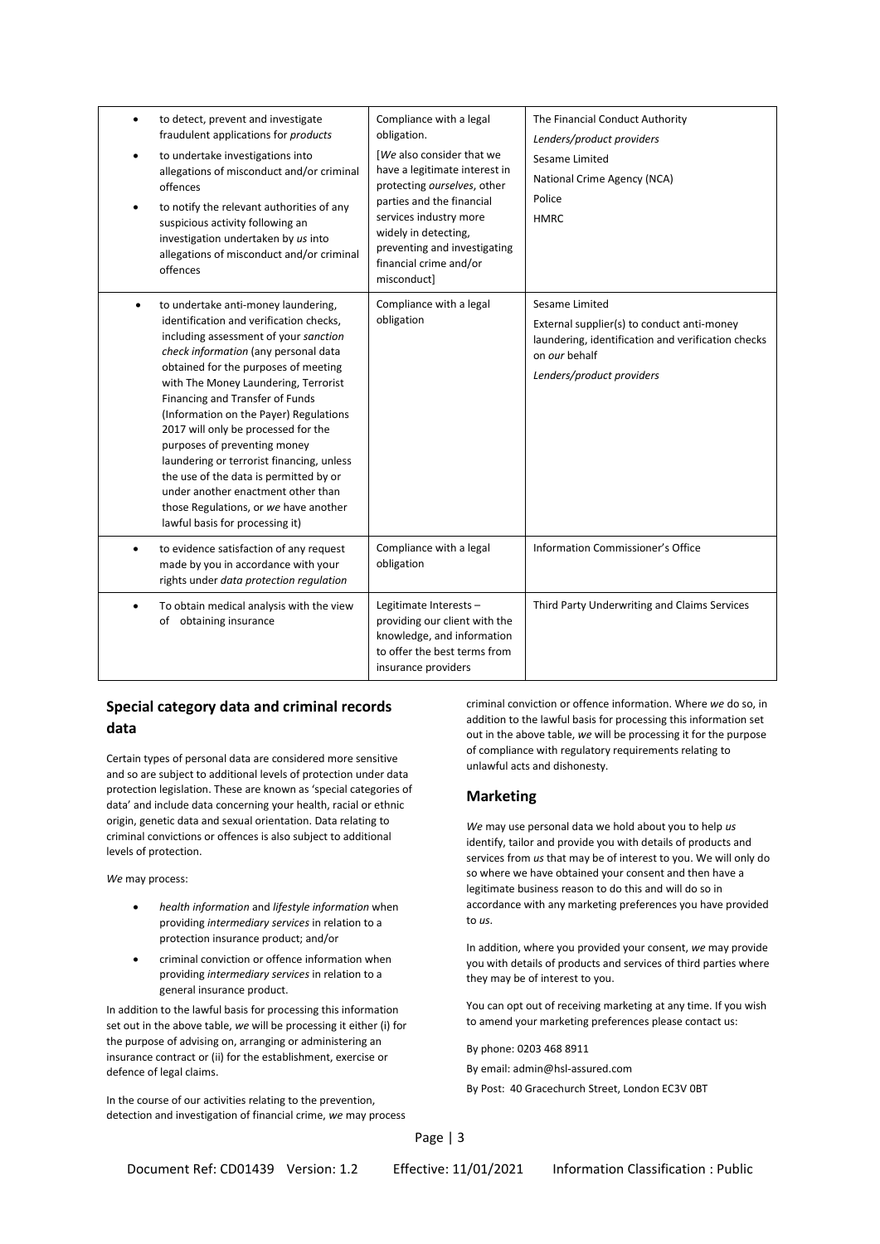| to detect, prevent and investigate<br>fraudulent applications for products<br>to undertake investigations into<br>allegations of misconduct and/or criminal<br>offences<br>to notify the relevant authorities of any<br>suspicious activity following an<br>investigation undertaken by us into<br>allegations of misconduct and/or criminal<br>offences                                                                                                                                                                                                                                                     | Compliance with a legal<br>obligation.<br>[We also consider that we<br>have a legitimate interest in<br>protecting ourselves, other<br>parties and the financial<br>services industry more<br>widely in detecting,<br>preventing and investigating<br>financial crime and/or<br>misconduct] | The Financial Conduct Authority<br>Lenders/product providers<br>Sesame Limited<br>National Crime Agency (NCA)<br>Police<br><b>HMRC</b>                           |
|--------------------------------------------------------------------------------------------------------------------------------------------------------------------------------------------------------------------------------------------------------------------------------------------------------------------------------------------------------------------------------------------------------------------------------------------------------------------------------------------------------------------------------------------------------------------------------------------------------------|---------------------------------------------------------------------------------------------------------------------------------------------------------------------------------------------------------------------------------------------------------------------------------------------|------------------------------------------------------------------------------------------------------------------------------------------------------------------|
| to undertake anti-money laundering,<br>identification and verification checks,<br>including assessment of your sanction<br>check information (any personal data<br>obtained for the purposes of meeting<br>with The Money Laundering, Terrorist<br>Financing and Transfer of Funds<br>(Information on the Payer) Regulations<br>2017 will only be processed for the<br>purposes of preventing money<br>laundering or terrorist financing, unless<br>the use of the data is permitted by or<br>under another enactment other than<br>those Regulations, or we have another<br>lawful basis for processing it) | Compliance with a legal<br>obligation                                                                                                                                                                                                                                                       | Sesame Limited<br>External supplier(s) to conduct anti-money<br>laundering, identification and verification checks<br>on our behalf<br>Lenders/product providers |
| to evidence satisfaction of any request<br>made by you in accordance with your<br>rights under data protection regulation                                                                                                                                                                                                                                                                                                                                                                                                                                                                                    | Compliance with a legal<br>obligation                                                                                                                                                                                                                                                       | Information Commissioner's Office                                                                                                                                |
| To obtain medical analysis with the view<br>of obtaining insurance                                                                                                                                                                                                                                                                                                                                                                                                                                                                                                                                           | Legitimate Interests -<br>providing our client with the<br>knowledge, and information<br>to offer the best terms from<br>insurance providers                                                                                                                                                | Third Party Underwriting and Claims Services                                                                                                                     |

### **Special category data and criminal records data**

Certain types of personal data are considered more sensitive and so are subject to additional levels of protection under data protection legislation. These are known as 'special categories of data' and include data concerning your health, racial or ethnic origin, genetic data and sexual orientation. Data relating to criminal convictions or offences is also subject to additional levels of protection.

*We* may process:

- *health information* and *lifestyle information* when providing *intermediary services* in relation to a protection insurance product; and/or
- criminal conviction or offence information when providing *intermediary services* in relation to a general insurance product.

In addition to the lawful basis for processing this information set out in the above table, *we* will be processing it either (i) for the purpose of advising on, arranging or administering an insurance contract or (ii) for the establishment, exercise or defence of legal claims.

In the course of our activities relating to the prevention, detection and investigation of financial crime, *we* may process

criminal conviction or offence information. Where *we* do so, in addition to the lawful basis for processing this information set out in the above table, *we* will be processing it for the purpose of compliance with regulatory requirements relating to unlawful acts and dishonesty.

### **Marketing**

*We* may use personal data we hold about you to help *us* identify, tailor and provide you with details of products and services from *us* that may be of interest to you. We will only do so where we have obtained your consent and then have a legitimate business reason to do this and will do so in accordance with any marketing preferences you have provided to *us*.

In addition, where you provided your consent, *we* may provide you with details of products and services of third parties where they may be of interest to you.

You can opt out of receiving marketing at any time. If you wish to amend your marketing preferences please contact us:

By phone: 0203 468 8911

By email: admin@hsl-assured.com

By Post: 40 Gracechurch Street, London EC3V 0BT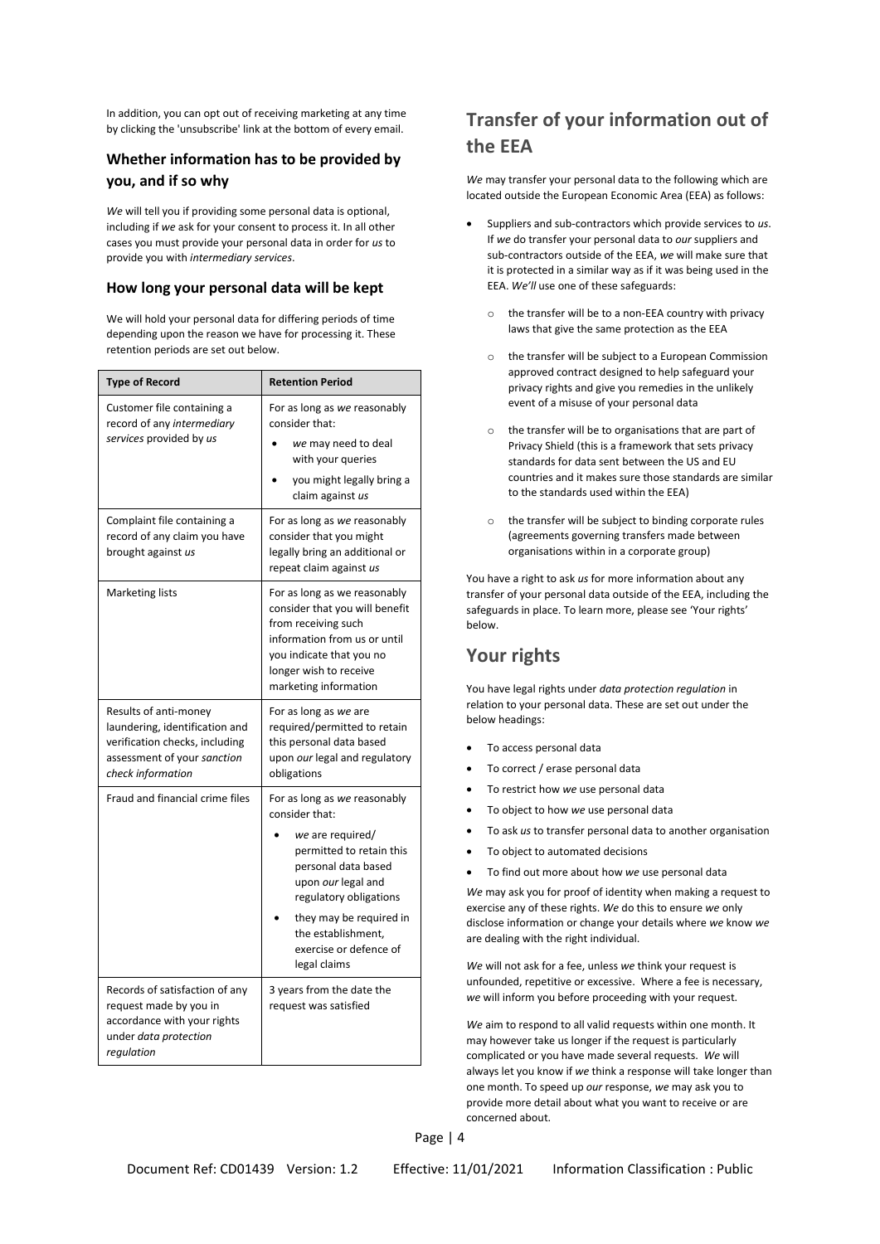In addition, you can opt out of receiving marketing at any time by clicking the 'unsubscribe' link at the bottom of every email.

### **Whether information has to be provided by you, and if so why**

*We* will tell you if providing some personal data is optional, including if *we* ask for your consent to process it. In all other cases you must provide your personal data in order for *us* to provide you with *intermediary services*.

### **How long your personal data will be kept**

We will hold your personal data for differing periods of time depending upon the reason we have for processing it. These retention periods are set out below.

| <b>Type of Record</b>                                                                                                                         | <b>Retention Period</b>                                                                                                                                                                              |  |  |
|-----------------------------------------------------------------------------------------------------------------------------------------------|------------------------------------------------------------------------------------------------------------------------------------------------------------------------------------------------------|--|--|
| Customer file containing a<br>record of any intermediary                                                                                      | For as long as we reasonably<br>consider that:                                                                                                                                                       |  |  |
| services provided by us                                                                                                                       | we may need to deal<br>with your queries                                                                                                                                                             |  |  |
|                                                                                                                                               | you might legally bring a<br>claim against us                                                                                                                                                        |  |  |
| Complaint file containing a<br>record of any claim you have<br>brought against us                                                             | For as long as we reasonably<br>consider that you might<br>legally bring an additional or<br>repeat claim against us                                                                                 |  |  |
| <b>Marketing lists</b>                                                                                                                        | For as long as we reasonably<br>consider that you will benefit<br>from receiving such<br>information from us or until<br>you indicate that you no<br>longer wish to receive<br>marketing information |  |  |
| Results of anti-money<br>laundering, identification and<br>verification checks, including<br>assessment of your sanction<br>check information | For as long as we are<br>required/permitted to retain<br>this personal data based<br>upon our legal and regulatory<br>obligations                                                                    |  |  |
| Fraud and financial crime files                                                                                                               | For as long as we reasonably<br>consider that:                                                                                                                                                       |  |  |
|                                                                                                                                               | we are required/<br>permitted to retain this<br>personal data based<br>upon our legal and<br>regulatory obligations                                                                                  |  |  |
|                                                                                                                                               | they may be required in<br>the establishment,<br>exercise or defence of<br>legal claims                                                                                                              |  |  |
| Records of satisfaction of any<br>request made by you in<br>accordance with your rights<br>under <i>data protection</i><br>regulation         | 3 years from the date the<br>request was satisfied                                                                                                                                                   |  |  |

# **Transfer of your information out of the EEA**

*We* may transfer your personal data to the following which are located outside the European Economic Area (EEA) as follows:

- Suppliers and sub-contractors which provide services to *us*. If *we* do transfer your personal data to *our* suppliers and sub-contractors outside of the EEA, *we* will make sure that it is protected in a similar way as if it was being used in the EEA. *We'll* use one of these safeguards:
	- the transfer will be to a non-EEA country with privacy laws that give the same protection as the EEA
	- o the transfer will be subject to a European Commission approved contract designed to help safeguard your privacy rights and give you remedies in the unlikely event of a misuse of your personal data
	- o the transfer will be to organisations that are part of Privacy Shield (this is a framework that sets privacy standards for data sent between the US and EU countries and it makes sure those standards are similar to the standards used within the EEA)
	- o the transfer will be subject to binding corporate rules (agreements governing transfers made between organisations within in a corporate group)

You have a right to ask *us* for more information about any transfer of your personal data outside of the EEA, including the safeguards in place. To learn more, please see 'Your rights' below.

# **Your rights**

You have legal rights under *data protection regulation* in relation to your personal data. These are set out under the below headings:

- To access personal data
- To correct / erase personal data
- To restrict how *we* use personal data
- To object to how *we* use personal data
- To ask *us* to transfer personal data to another organisation
- To object to automated decisions
- To find out more about how *we* use personal data

*We* may ask you for proof of identity when making a request to exercise any of these rights. *We* do this to ensure *we* only disclose information or change your details where *we* know *we* are dealing with the right individual.

*We* will not ask for a fee, unless *we* think your request is unfounded, repetitive or excessive. Where a fee is necessary, *we* will inform you before proceeding with your request.

*We* aim to respond to all valid requests within one month. It may however take us longer if the request is particularly complicated or you have made several requests. *We* will always let you know if *we* think a response will take longer than one month. To speed up *our* response, *we* may ask you to provide more detail about what you want to receive or are concerned about.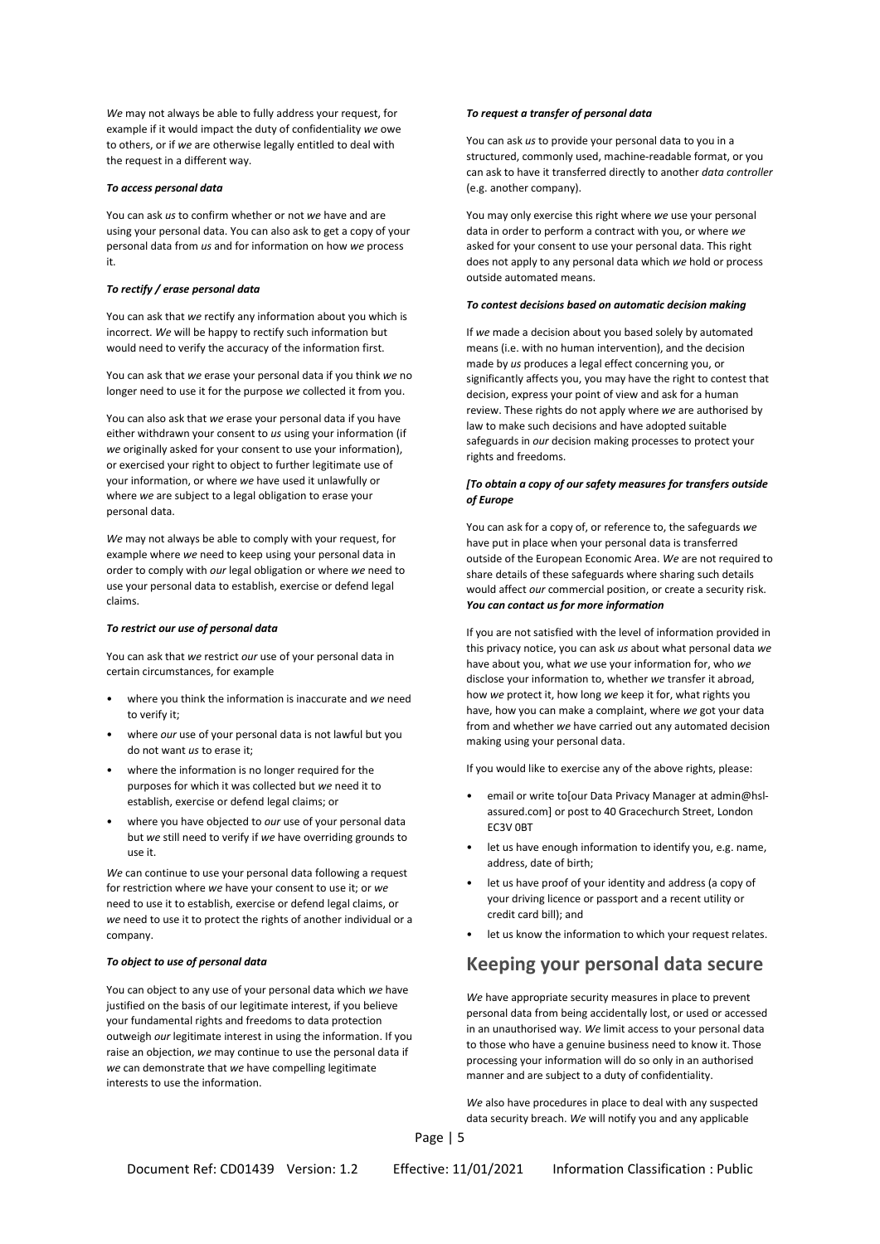*We* may not always be able to fully address your request, for example if it would impact the duty of confidentiality *we* owe to others, or if *we* are otherwise legally entitled to deal with the request in a different way.

#### *To access personal data*

You can ask *us* to confirm whether or not *we* have and are using your personal data. You can also ask to get a copy of your personal data from *us* and for information on how *we* process it.

#### *To rectify / erase personal data*

You can ask that *we* rectify any information about you which is incorrect. *We* will be happy to rectify such information but would need to verify the accuracy of the information first.

You can ask that *we* erase your personal data if you think *we* no longer need to use it for the purpose *we* collected it from you.

You can also ask that *we* erase your personal data if you have either withdrawn your consent to *us* using your information (if *we* originally asked for your consent to use your information), or exercised your right to object to further legitimate use of your information, or where *we* have used it unlawfully or where *we* are subject to a legal obligation to erase your personal data.

*We* may not always be able to comply with your request, for example where *we* need to keep using your personal data in order to comply with *our* legal obligation or where *we* need to use your personal data to establish, exercise or defend legal claims.

#### *To restrict our use of personal data*

You can ask that *we* restrict *our* use of your personal data in certain circumstances, for example

- where you think the information is inaccurate and *we* need to verify it;
- where *our* use of your personal data is not lawful but you do not want *us* to erase it;
- where the information is no longer required for the purposes for which it was collected but *we* need it to establish, exercise or defend legal claims; or
- where you have objected to *our* use of your personal data but *we* still need to verify if *we* have overriding grounds to use it.

*We* can continue to use your personal data following a request for restriction where *we* have your consent to use it; or *we* need to use it to establish, exercise or defend legal claims, or *we* need to use it to protect the rights of another individual or a company.

#### *To object to use of personal data*

You can object to any use of your personal data which *we* have justified on the basis of our legitimate interest, if you believe your fundamental rights and freedoms to data protection outweigh *our* legitimate interest in using the information. If you raise an objection, *we* may continue to use the personal data if *we* can demonstrate that *we* have compelling legitimate interests to use the information.

#### *To request a transfer of personal data*

You can ask *us* to provide your personal data to you in a structured, commonly used, machine-readable format, or you can ask to have it transferred directly to another *data controller* (e.g. another company).

You may only exercise this right where *we* use your personal data in order to perform a contract with you, or where *we* asked for your consent to use your personal data. This right does not apply to any personal data which *we* hold or process outside automated means.

#### *To contest decisions based on automatic decision making*

If *we* made a decision about you based solely by automated means (i.e. with no human intervention), and the decision made by *us* produces a legal effect concerning you, or significantly affects you, you may have the right to contest that decision, express your point of view and ask for a human review. These rights do not apply where *we* are authorised by law to make such decisions and have adopted suitable safeguards in *our* decision making processes to protect your rights and freedoms.

#### *[To obtain a copy of our safety measures for transfers outside of Europe*

You can ask for a copy of, or reference to, the safeguards *we* have put in place when your personal data is transferred outside of the European Economic Area. *We* are not required to share details of these safeguards where sharing such details would affect *our* commercial position, or create a security risk. *You can contact us for more information*

If you are not satisfied with the level of information provided in this privacy notice, you can ask *us* about what personal data *we* have about you, what *we* use your information for, who *we* disclose your information to, whether *we* transfer it abroad, how *we* protect it, how long *we* keep it for, what rights you have, how you can make a complaint, where *we* got your data from and whether *we* have carried out any automated decision making using your personal data.

If you would like to exercise any of the above rights, please:

- email or write to our Data Privacy Manager at admin@hslassured.com] or post to 40 Gracechurch Street, London EC3V 0BT
- let us have enough information to identify you, e.g. name, address, date of birth;
- let us have proof of your identity and address (a copy of your driving licence or passport and a recent utility or credit card bill); and
- let us know the information to which your request relates.

## **Keeping your personal data secure**

*We* have appropriate security measures in place to prevent personal data from being accidentally lost, or used or accessed in an unauthorised way. *We* limit access to your personal data to those who have a genuine business need to know it. Those processing your information will do so only in an authorised manner and are subject to a duty of confidentiality.

*We* also have procedures in place to deal with any suspected data security breach. *We* will notify you and any applicable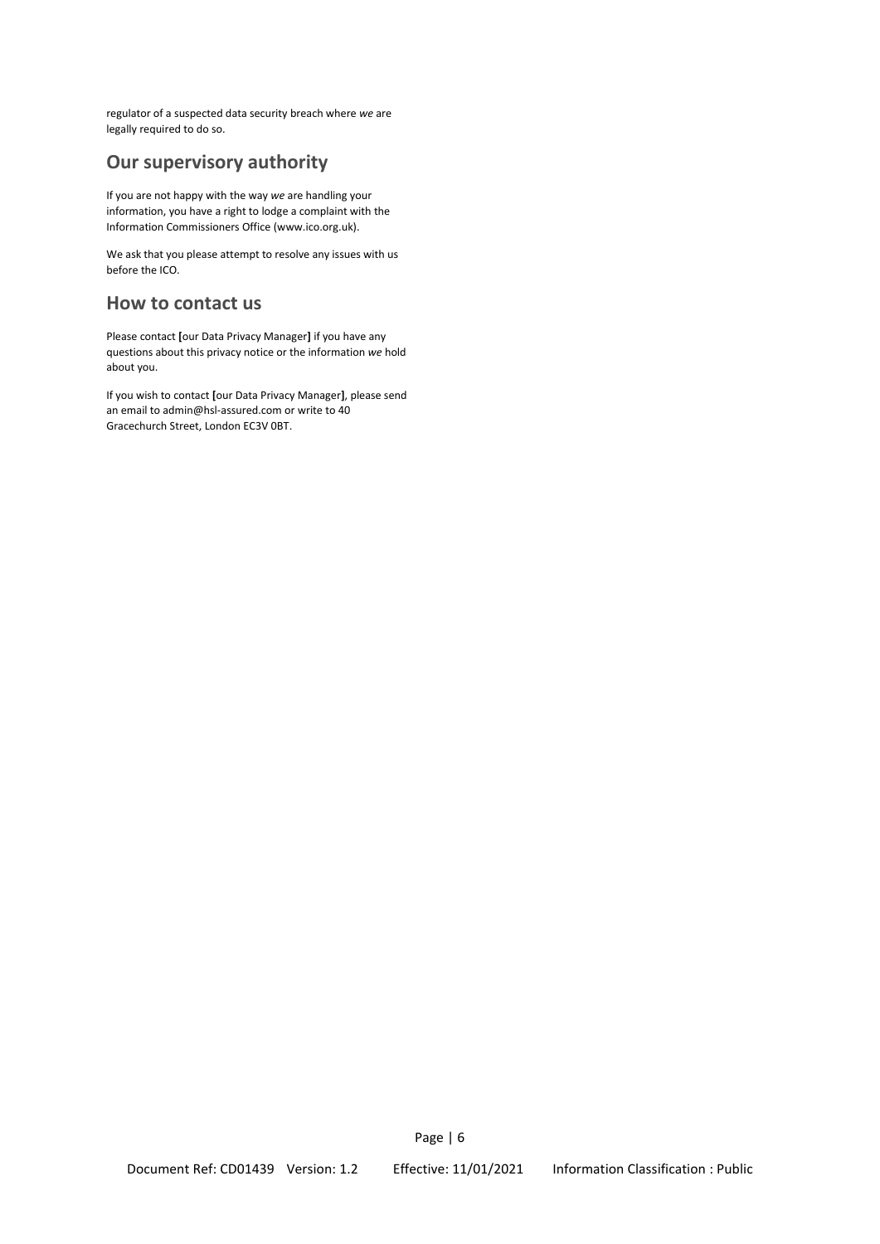regulator of a suspected data security breach where *we* are legally required to do so.

## **Our supervisory authority**

If you are not happy with the way *we* are handling your information, you have a right to lodge a complaint with the Information Commissioners Office (www.ico.org.uk).

We ask that you please attempt to resolve any issues with us before the ICO.

## **How to contact us**

Please contact **[**our Data Privacy Manager**]** if you have any questions about this privacy notice or the information *we* hold about you.

If you wish to contact **[**our Data Privacy Manager**]**, please send an email to admin@hsl-assured.com or write to 40 Gracechurch Street, London EC3V 0BT.